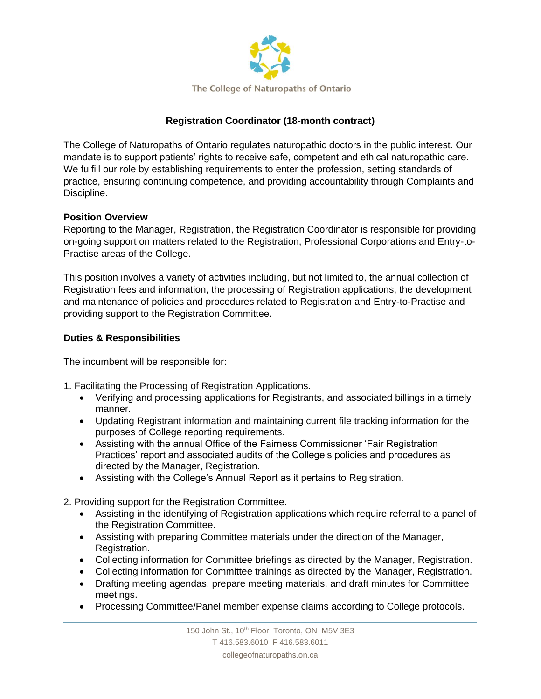

# **Registration Coordinator (18-month contract)**

The College of Naturopaths of Ontario regulates naturopathic doctors in the public interest. Our mandate is to support patients' rights to receive safe, competent and ethical naturopathic care. We fulfill our role by establishing requirements to enter the profession, setting standards of practice, ensuring continuing competence, and providing accountability through Complaints and Discipline.

## **Position Overview**

Reporting to the Manager, Registration, the Registration Coordinator is responsible for providing on-going support on matters related to the Registration, Professional Corporations and Entry-to-Practise areas of the College.

This position involves a variety of activities including, but not limited to, the annual collection of Registration fees and information, the processing of Registration applications, the development and maintenance of policies and procedures related to Registration and Entry-to-Practise and providing support to the Registration Committee.

## **Duties & Responsibilities**

The incumbent will be responsible for:

- 1. Facilitating the Processing of Registration Applications.
	- Verifying and processing applications for Registrants, and associated billings in a timely manner.
	- Updating Registrant information and maintaining current file tracking information for the purposes of College reporting requirements.
	- Assisting with the annual Office of the Fairness Commissioner 'Fair Registration Practices' report and associated audits of the College's policies and procedures as directed by the Manager, Registration.
	- Assisting with the College's Annual Report as it pertains to Registration.
- 2. Providing support for the Registration Committee.
	- Assisting in the identifying of Registration applications which require referral to a panel of the Registration Committee.
	- Assisting with preparing Committee materials under the direction of the Manager, Registration.
	- Collecting information for Committee briefings as directed by the Manager, Registration.
	- Collecting information for Committee trainings as directed by the Manager, Registration.
	- Drafting meeting agendas, prepare meeting materials, and draft minutes for Committee meetings.
	- Processing Committee/Panel member expense claims according to College protocols.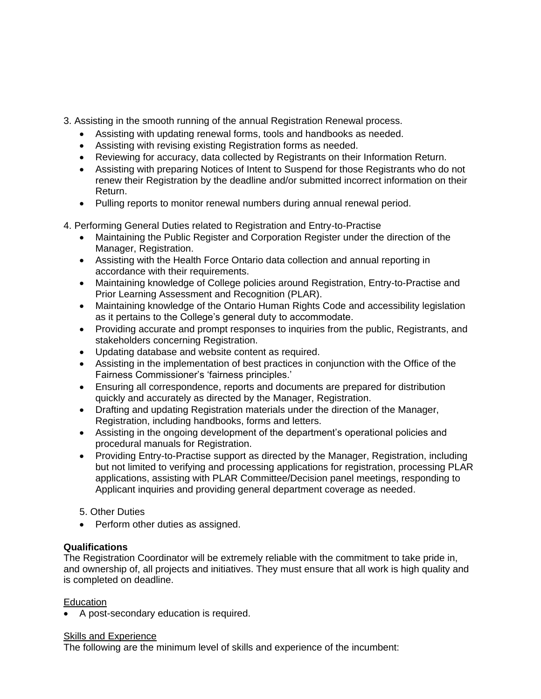3. Assisting in the smooth running of the annual Registration Renewal process.

- Assisting with updating renewal forms, tools and handbooks as needed.
- Assisting with revising existing Registration forms as needed.
- Reviewing for accuracy, data collected by Registrants on their Information Return.
- Assisting with preparing Notices of Intent to Suspend for those Registrants who do not renew their Registration by the deadline and/or submitted incorrect information on their Return.
- Pulling reports to monitor renewal numbers during annual renewal period.
- 4. Performing General Duties related to Registration and Entry-to-Practise
	- Maintaining the Public Register and Corporation Register under the direction of the Manager, Registration.
	- Assisting with the Health Force Ontario data collection and annual reporting in accordance with their requirements.
	- Maintaining knowledge of College policies around Registration, Entry-to-Practise and Prior Learning Assessment and Recognition (PLAR).
	- Maintaining knowledge of the Ontario Human Rights Code and accessibility legislation as it pertains to the College's general duty to accommodate.
	- Providing accurate and prompt responses to inquiries from the public, Registrants, and stakeholders concerning Registration.
	- Updating database and website content as required.
	- Assisting in the implementation of best practices in conjunction with the Office of the Fairness Commissioner's 'fairness principles.'
	- Ensuring all correspondence, reports and documents are prepared for distribution quickly and accurately as directed by the Manager, Registration.
	- Drafting and updating Registration materials under the direction of the Manager, Registration, including handbooks, forms and letters.
	- Assisting in the ongoing development of the department's operational policies and procedural manuals for Registration.
	- Providing Entry-to-Practise support as directed by the Manager, Registration, including but not limited to verifying and processing applications for registration, processing PLAR applications, assisting with PLAR Committee/Decision panel meetings, responding to Applicant inquiries and providing general department coverage as needed.
	- 5. Other Duties
	- Perform other duties as assigned.

#### **Qualifications**

The Registration Coordinator will be extremely reliable with the commitment to take pride in, and ownership of, all projects and initiatives. They must ensure that all work is high quality and is completed on deadline.

#### **Education**

• A post-secondary education is required.

#### Skills and Experience

The following are the minimum level of skills and experience of the incumbent: